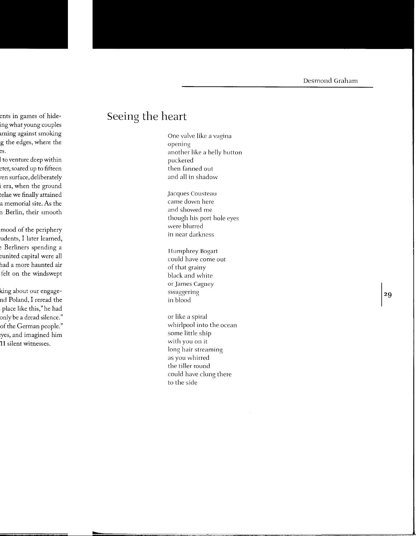## **Seeing the heart**

One valve like a vagina opening another like a belly button puckered then fanned out and all in shadow

Jacques Cousteau came down here and showed me though his port hole eyes were blurred in near darkness

Humphrey Bogart could have come out of that grainy black and white or James Cagney swaggering in blood

or like a spiral whirlpool into the ocean some little ship with you on it long hair streaming as you whirred the tiller round could have clung there to the side